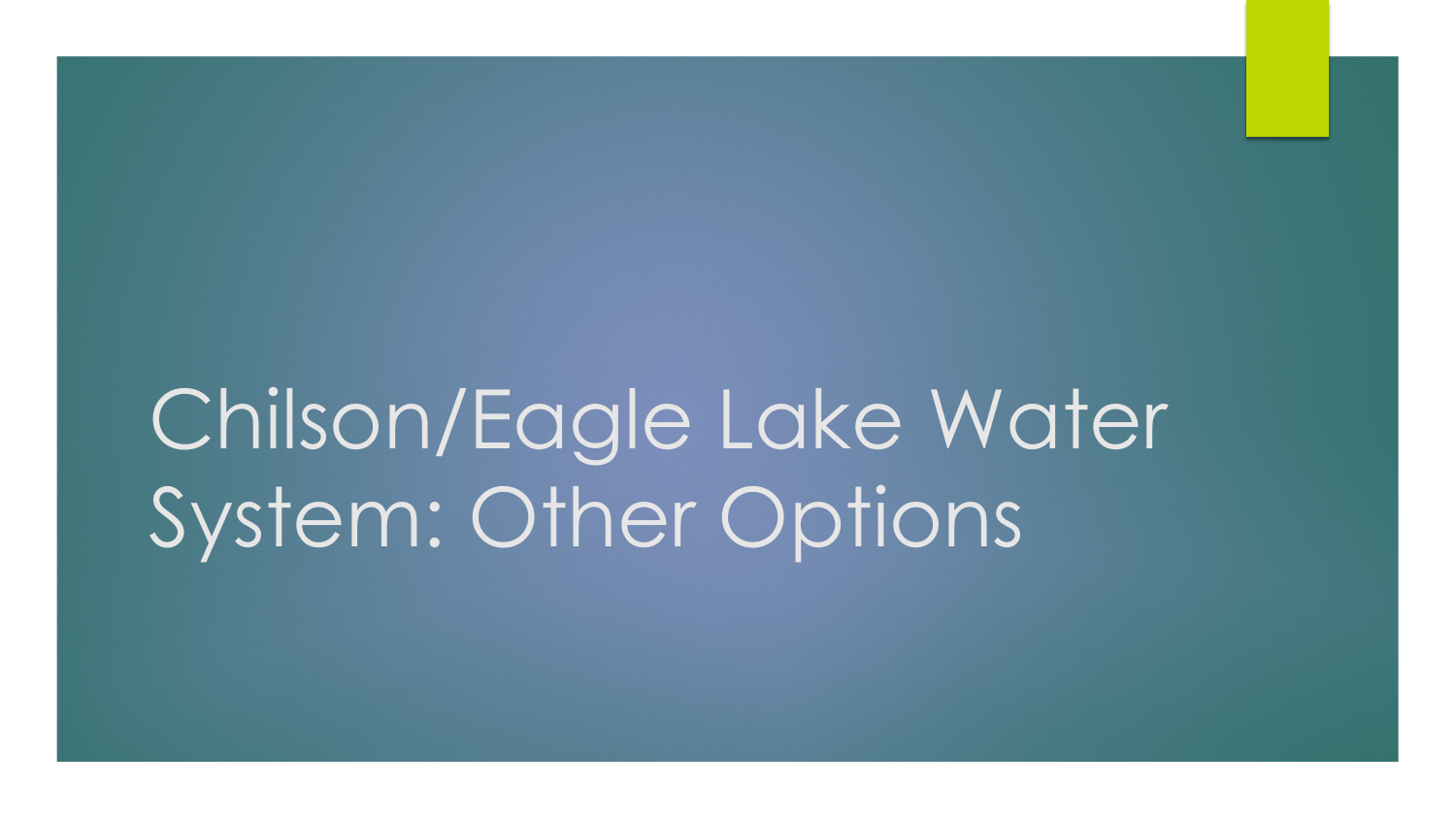## Chilson/Eagle Lake Water System: Other Options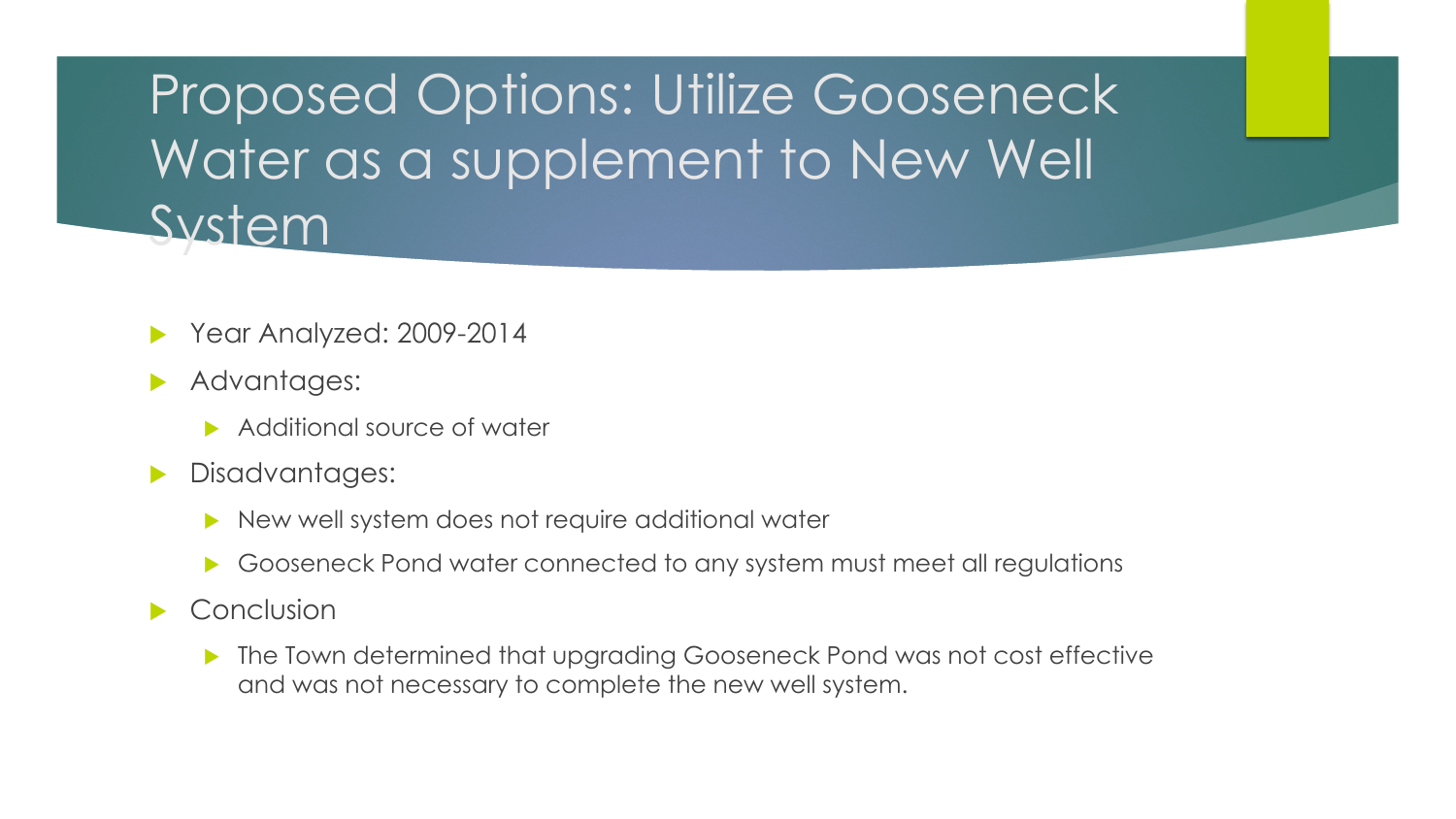Proposed Options: Utilize Gooseneck Water as a supplement to New Well **System** 

- Year Analyzed: 2009-2014
- Advantages:
	- Additional source of water
- Disadvantages:
	- New well system does not require additional water
	- Gooseneck Pond water connected to any system must meet all regulations
- $\blacktriangleright$  Conclusion
	- ▶ The Town determined that upgrading Gooseneck Pond was not cost effective and was not necessary to complete the new well system.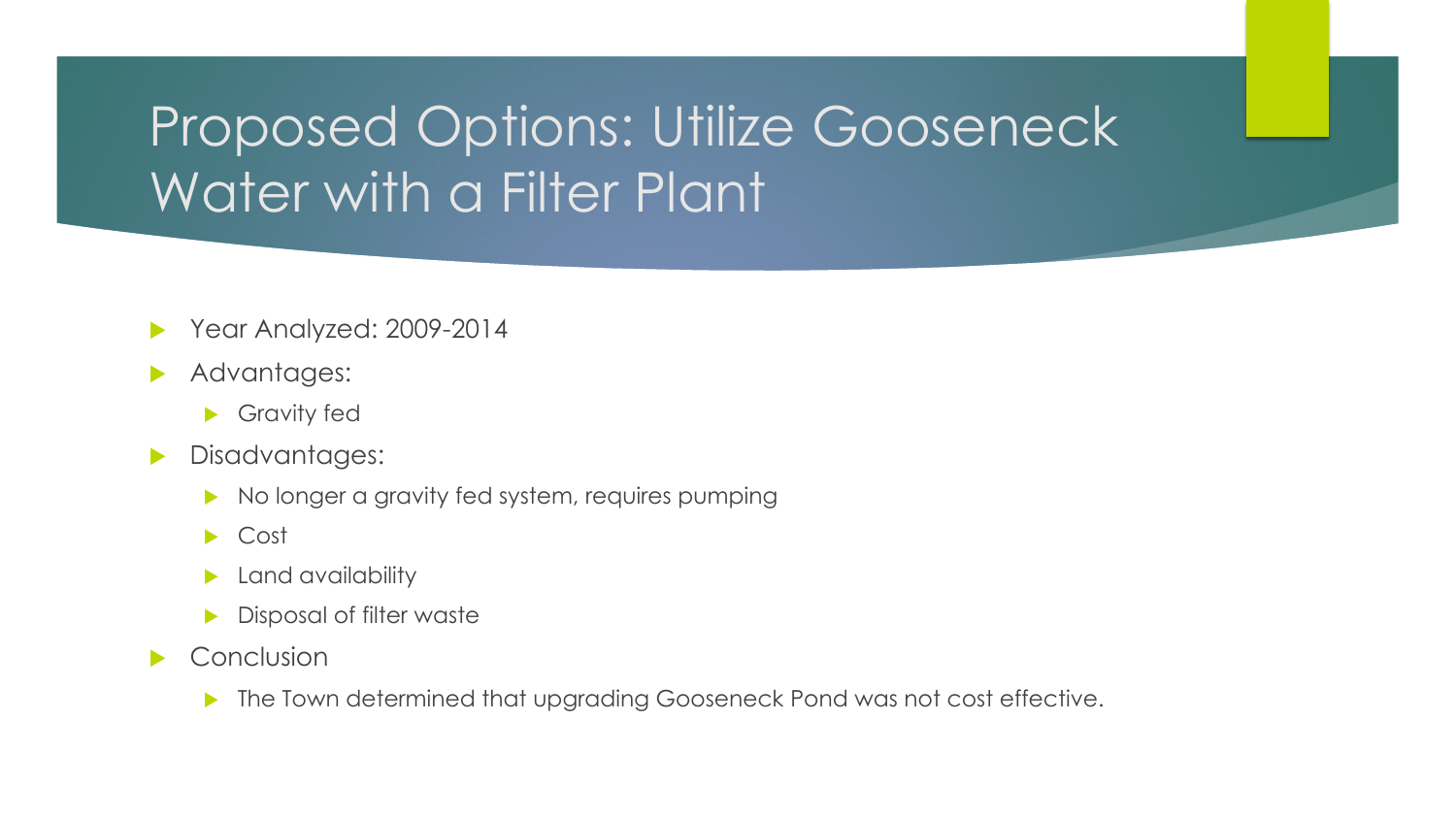## Proposed Options: Utilize Gooseneck Water with a Filter Plant

- Year Analyzed: 2009-2014
- Advantages:
	- Gravity fed
- **Disadvantages:** 
	- $\triangleright$  No longer a gravity fed system, requires pumping
	- ▶ Cost
	- Land availability
	- Disposal of filter waste
- $\blacktriangleright$  Conclusion
	- **The Town determined that upgrading Gooseneck Pond was not cost effective.**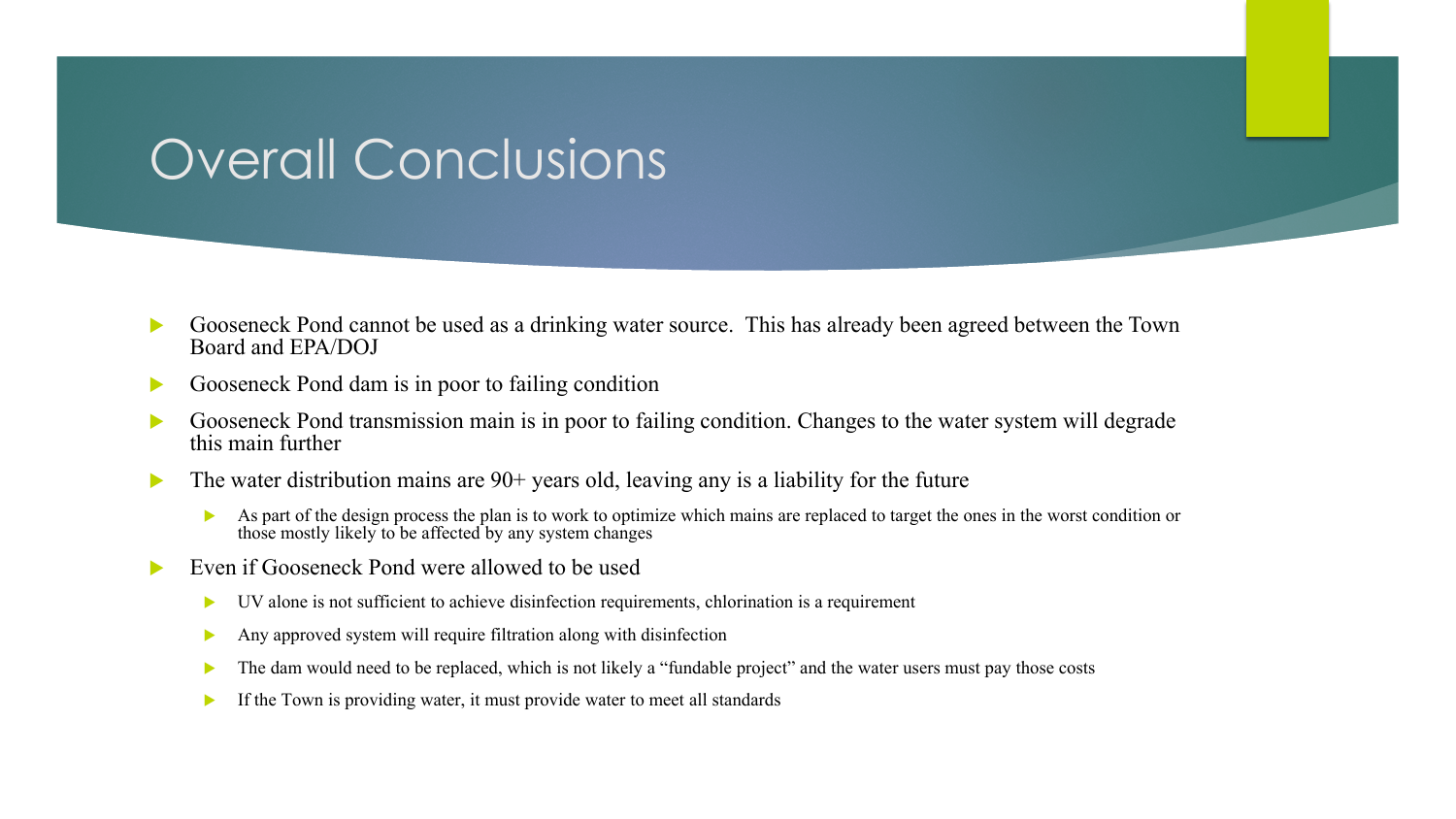## Overall Conclusions

- Gooseneck Pond cannot be used as a drinking water source. This has already been agreed between the Town Board and EPA/DOJ
- Gooseneck Pond dam is in poor to failing condition
- Gooseneck Pond transmission main is in poor to failing condition. Changes to the water system will degrade this main further
- $\blacktriangleright$  The water distribution mains are 90+ years old, leaving any is a liability for the future
	- As part of the design process the plan is to work to optimize which mains are replaced to target the ones in the worst condition or those mostly likely to be affected by any system changes
- Even if Gooseneck Pond were allowed to be used
	- UV alone is not sufficient to achieve disinfection requirements, chlorination is a requirement
	- Any approved system will require filtration along with disinfection
	- The dam would need to be replaced, which is not likely a "fundable project" and the water users must pay those costs
	- If the Town is providing water, it must provide water to meet all standards